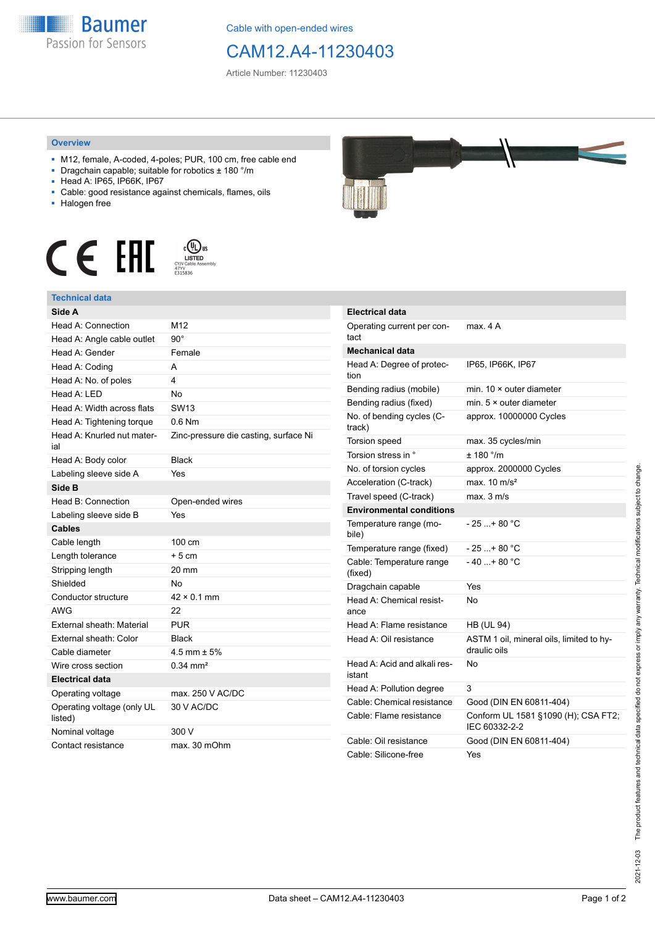

Cable with open-ended wires

## CAM12.A4-11230403

Article Number: 11230403

## **Overview**

- M12, female, A-coded, 4-poles; PUR, 100 cm, free cable end
- Dragchain capable; suitable for robotics ± 180 °/m
- Head A: IP65, IP66K, IP67
- Cable: good resistance against chemicals, flames, oils
- Halogen free





## **Technical data**

| Side A                                |                                       |
|---------------------------------------|---------------------------------------|
| Head A: Connection                    | M12                                   |
| Head A: Angle cable outlet            | $90^{\circ}$                          |
| Head A: Gender                        | Female                                |
| Head A: Coding                        | A                                     |
| Head A: No. of poles                  | 4                                     |
| Head A: LED                           | <b>No</b>                             |
| Head A: Width across flats            | <b>SW13</b>                           |
| Head A: Tightening torque             | $0.6$ Nm                              |
| Head A: Knurled nut mater-<br>ial     | Zinc-pressure die casting, surface Ni |
| Head A: Body color                    | <b>Black</b>                          |
| Labeling sleeve side A                | Yes                                   |
| Side B                                |                                       |
| Head B: Connection                    | Open-ended wires                      |
| Labeling sleeve side B                | Yes                                   |
| <b>Cables</b>                         |                                       |
| Cable length                          | 100 cm                                |
| Length tolerance                      | $+5cm$                                |
| Stripping length                      | 20 mm                                 |
| Shielded                              | No                                    |
| Conductor structure                   | $42 \times 0.1$ mm                    |
| <b>AWG</b>                            | 22                                    |
| External sheath: Material             | <b>PUR</b>                            |
| External sheath: Color                | <b>Black</b>                          |
| Cable diameter                        | 4.5 mm $\pm$ 5%                       |
| Wire cross section                    | $0.34$ mm <sup>2</sup>                |
| <b>Electrical data</b>                |                                       |
| Operating voltage                     | max. 250 V AC/DC                      |
| Operating voltage (only UL<br>listed) | 30 V AC/DC                            |
| Nominal voltage                       | 300 V                                 |
| Contact resistance                    | max. 30 mOhm                          |



| <b>Electrical data</b>                 |                                                          |
|----------------------------------------|----------------------------------------------------------|
| Operating current per con-<br>tact     | max 4 A                                                  |
| Mechanical data                        |                                                          |
| Head A: Degree of protec-<br>tion      | IP65, IP66K, IP67                                        |
| Bending radius (mobile)                | min. $10 \times$ outer diameter                          |
| Bending radius (fixed)                 | min. 5 × outer diameter                                  |
| No. of bending cycles (C-<br>track)    | approx. 10000000 Cycles                                  |
| Torsion speed                          | max. 35 cycles/min                                       |
| Torsion stress in °                    | $± 180$ °/m                                              |
| No. of torsion cycles                  | approx. 2000000 Cycles                                   |
| Acceleration (C-track)                 | max. $10 \text{ m/s}^2$                                  |
| Travel speed (C-track)                 | max. 3 m/s                                               |
| <b>Environmental conditions</b>        |                                                          |
| Temperature range (mo-<br>bile)        | - 25 + 80 °C                                             |
| Temperature range (fixed)              | $-25$ + 80 °C                                            |
| Cable: Temperature range<br>(fixed)    | - 40 + 80 °C                                             |
| Dragchain capable                      | Yes                                                      |
| Head A: Chemical resist-<br>ance       | N٥                                                       |
| Head A: Flame resistance               | <b>HB (UL 94)</b>                                        |
| Head A: Oil resistance                 | ASTM 1 oil, mineral oils, limited to hy-<br>draulic oils |
| Head A: Acid and alkali res-<br>istant | No                                                       |
| Head A: Pollution degree               | 3                                                        |
| Cable: Chemical resistance             | Good (DIN EN 60811-404)                                  |
| Cable: Flame resistance                | Conform UL 1581 §1090 (H); CSA FT2;<br>IEC 60332-2-2     |
| Cable: Oil resistance                  | Good (DIN EN 60811-404)                                  |
| Cable: Silicone-free                   | Yes                                                      |